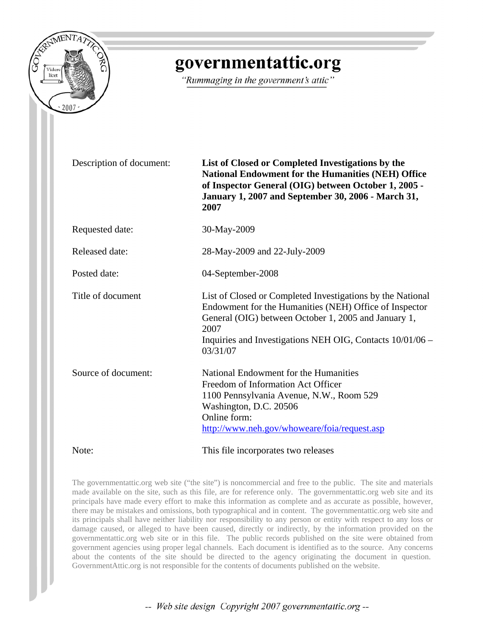

# governmentattic.org

"Rummaging in the government's attic"

| Description of document: | List of Closed or Completed Investigations by the<br><b>National Endowment for the Humanities (NEH) Office</b><br>of Inspector General (OIG) between October 1, 2005 -<br>January 1, 2007 and September 30, 2006 - March 31,<br>2007                          |
|--------------------------|---------------------------------------------------------------------------------------------------------------------------------------------------------------------------------------------------------------------------------------------------------------|
| Requested date:          | 30-May-2009                                                                                                                                                                                                                                                   |
| Released date:           | 28-May-2009 and 22-July-2009                                                                                                                                                                                                                                  |
| Posted date:             | 04-September-2008                                                                                                                                                                                                                                             |
| Title of document        | List of Closed or Completed Investigations by the National<br>Endowment for the Humanities (NEH) Office of Inspector<br>General (OIG) between October 1, 2005 and January 1,<br>2007<br>Inquiries and Investigations NEH OIG, Contacts 10/01/06 –<br>03/31/07 |
| Source of document:      | National Endowment for the Humanities<br>Freedom of Information Act Officer<br>1100 Pennsylvania Avenue, N.W., Room 529<br>Washington, D.C. 20506<br>Online form:<br>http://www.neh.gov/whoweare/foia/request.asp                                             |
| Note:                    | This file incorporates two releases                                                                                                                                                                                                                           |

The governmentattic.org web site ("the site") is noncommercial and free to the public. The site and materials made available on the site, such as this file, are for reference only. The governmentattic.org web site and its principals have made every effort to make this information as complete and as accurate as possible, however, there may be mistakes and omissions, both typographical and in content. The governmentattic.org web site and its principals shall have neither liability nor responsibility to any person or entity with respect to any loss or damage caused, or alleged to have been caused, directly or indirectly, by the information provided on the governmentattic.org web site or in this file. The public records published on the site were obtained from government agencies using proper legal channels. Each document is identified as to the source. Any concerns about the contents of the site should be directed to the agency originating the document in question. GovernmentAttic.org is not responsible for the contents of documents published on the website.

-- Web site design Copyright 2007 governmentattic.org --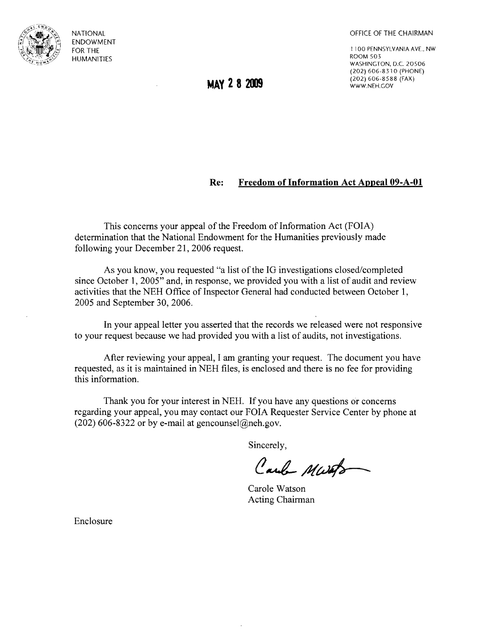

NATIONAL ENDOWMENT FOR THE HUMANITIES

OFFICE OF THE CHAIRMAN

1 1 00 PENNSYLVANIA AVE., NW ROOM 503 WASHINGTON, D.C. 20506 (202) 606-8310 (PHONE) (202) 606-8588 (FAX) WWW.NEH.GOV

**MAY 2 8 2009** 

## **Re: Freedom of Information Act Appeal 09-A-Ol**

This concerns your appeal of the Freedom of Information Act (FOIA) determination that the National Endowment for the Humanities previously made following your December 21, 2006 request.

As you know, you requested "a list of the IG investigations closed/completed since October 1, 2005" and, in response, we provided you with a list of audit and review activities that the NEH Office of Inspector General had conducted between October 1, 2005 and September 30, 2006.

In your appeal letter you asserted that the records we released were not responsive to your request because we had provided you with a list of audits, not investigations.

After reviewing your appeal, I am granting your request. The document you have requested, as it is maintained in NEH files, is enclosed and there is no fee for providing this information.

Thank you for your interest in NEH. If you have any questions or concerns regarding your appeal, you may contact our FOIA Requester Service Center by phone at (202) 606-8322 or by e-mail at gencounsel@neh.gov.

Sincerely,

Carl Marts

Carole Watson Acting Chairman

Enclosure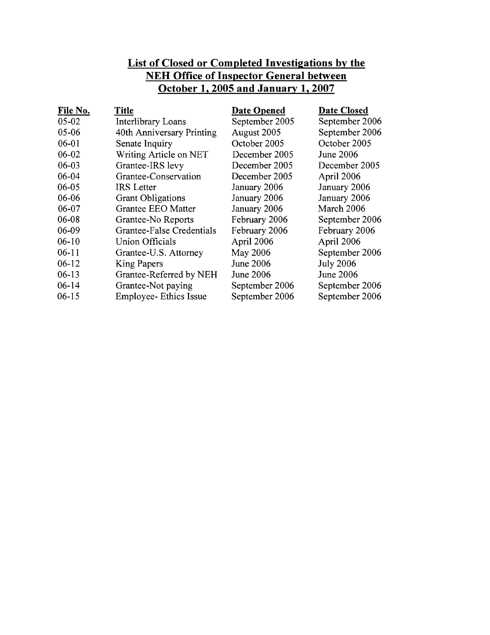## **List of Closed or Completed Investigations by the NEH Office of Inspector General between October 1,2005 and January 1,2007**

| File No.  | <b>Title</b>                  | <b>Date Opened</b> | <b>Date Closed</b> |
|-----------|-------------------------------|--------------------|--------------------|
| $05 - 02$ | Interlibrary Loans            | September 2005     | September 2006     |
| 05-06     | 40th Anniversary Printing     | August 2005        | September 2006     |
| $06 - 01$ | Senate Inquiry                | October 2005       | October 2005       |
| $06 - 02$ | Writing Article on NET        | December 2005      | <b>June 2006</b>   |
| $06 - 03$ | Grantee-IRS levy              | December 2005      | December 2005      |
| $06 - 04$ | Grantee-Conservation          | December 2005      | April 2006         |
| 06-05     | IRS Letter                    | January 2006       | January 2006       |
| 06-06     | <b>Grant Obligations</b>      | January 2006       | January 2006       |
| 06-07     | Grantee EEO Matter            | January 2006       | March 2006         |
| 06-08     | Grantee-No Reports            | February 2006      | September 2006     |
| 06-09     | Grantee-False Credentials     | February 2006      | February 2006      |
| $06-10$   | Union Officials               | April 2006         | April 2006         |
| $06-11$   | Grantee-U.S. Attorney         | May 2006           | September 2006     |
| $06-12$   | King Papers                   | <b>June 2006</b>   | <b>July 2006</b>   |
| $06-13$   | Grantee-Referred by NEH       | <b>June 2006</b>   | <b>June 2006</b>   |
| $06 - 14$ | Grantee-Not paying            | September 2006     | September 2006     |
| $06-15$   | <b>Employee-</b> Ethics Issue | September 2006     | September 2006     |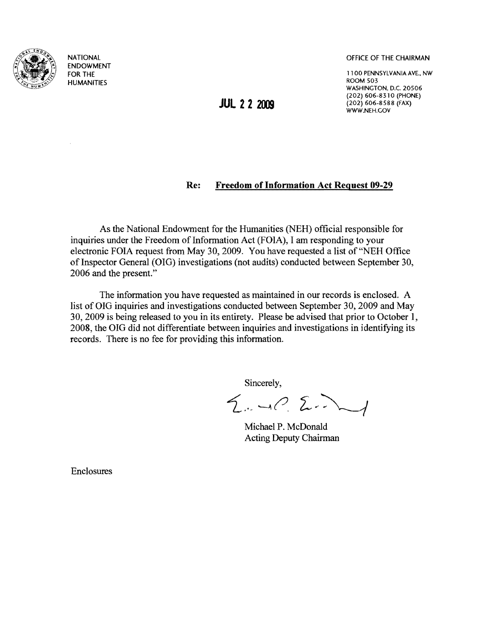

NATIONAL ENDOWMENT FOR THE HUMANITIES

OFFICE OF THE CHAIRMAN

1100 PENNSYLVANIA AYE., NW ROOM 503 WASHINGTON, D.C. 20506 (202) 606-8310 (PHONE) (202) 606-8588 (FAX) WWW.NEH.GOV

## **Re: Freedom of Information Act Request 09-29**

As the National Endowment for the Humanities (NEH) official responsible for inquiries under the Freedom of Information Act (FOIA), I am responding to your electronic FOIA request from May 30, 2009. You have requested a list of "NEH Office of Inspector General (OIG) investigations (not audits) conducted between September 30, 2006 and the present."

The information you have requested as maintained in our records is enclosed. A list of OIG inquiries and investigations conducted between September 30, 2009 and May 30, 2009 is being released to you in its entirety. Please be advised that prior to October 1, 2008, the OIG did not differentiate between inquiries and investigations in identifying its records. There is no fee for providing this information.

Sincerely,

 $2.4022$ 

Michael P. McDonald Acting Deputy Chairman

Enclosures

**JUL 22 2009**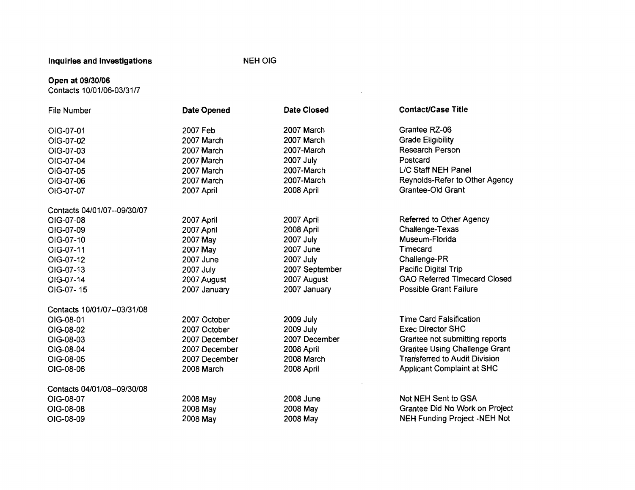Inquiries and Investigations NEH OIG

 $\sim 10^{11}$ 

#### Open at *09/30/06*

Contacts 1 0/01/06-03/31 *n* 

| File Number                 | Date Opened   | <b>Date Closed</b> | <b>Contact/Case Title</b>            |
|-----------------------------|---------------|--------------------|--------------------------------------|
| OIG-07-01                   | 2007 Feb      | 2007 March         | Grantee RZ-06                        |
| OIG-07-02                   | 2007 March    | 2007 March         | <b>Grade Eligibility</b>             |
| OIG-07-03                   | 2007 March    | 2007-March         | Research Person                      |
| OIG-07-04                   | 2007 March    | <b>2007 July</b>   | Postcard                             |
| OIG-07-05                   | 2007 March    | 2007-March         | L/C Staff NEH Panel                  |
| OIG-07-06                   | 2007 March    | 2007-March         | Reynolds-Refer to Other Agency       |
| OIG-07-07                   | 2007 April    | 2008 April         | Grantee-Old Grant                    |
| Contacts 04/01/07--09/30/07 |               |                    |                                      |
| OIG-07-08                   | 2007 April    | 2007 April         | Referred to Other Agency             |
| OIG-07-09                   | 2007 April    | 2008 April         | Challenge-Texas                      |
| OIG-07-10                   | 2007 May      | 2007 July          | Museum-Florida                       |
| OIG-07-11                   | 2007 May      | 2007 June          | Timecard                             |
| OIG-07-12                   | 2007 June     | 2007 July          | Challenge-PR                         |
| OIG-07-13                   | 2007 July     | 2007 September     | Pacific Digital Trip                 |
| OIG-07-14                   | 2007 August   | 2007 August        | <b>GAO Referred Timecard Closed</b>  |
| OIG-07-15                   | 2007 January  | 2007 January       | <b>Possible Grant Failure</b>        |
| Contacts 10/01/07--03/31/08 |               |                    |                                      |
| OIG-08-01                   | 2007 October  | 2009 July          | <b>Time Card Falsification</b>       |
| OIG-08-02                   | 2007 October  | <b>2009 July</b>   | <b>Exec Director SHC</b>             |
| OIG-08-03                   | 2007 December | 2007 December      | Grantee not submitting reports       |
| OIG-08-04                   | 2007 December | 2008 April         | <b>Grantee Using Challenge Grant</b> |
| OIG-08-05                   | 2007 December | 2008 March         | <b>Transferred to Audit Division</b> |
| OIG-08-06                   | 2008 March    | 2008 April         | <b>Applicant Complaint at SHC</b>    |
| Contacts 04/01/08--09/30/08 |               |                    |                                      |
| OIG-08-07                   | 2008 May      | 2008 June          | Not NEH Sent to GSA                  |
| OIG-08-08                   | 2008 May      | 2008 May           | Grantee Did No Work on Project       |
| OIG-08-09                   | 2008 May      | 2008 May           | <b>NEH Funding Project -NEH Not</b>  |